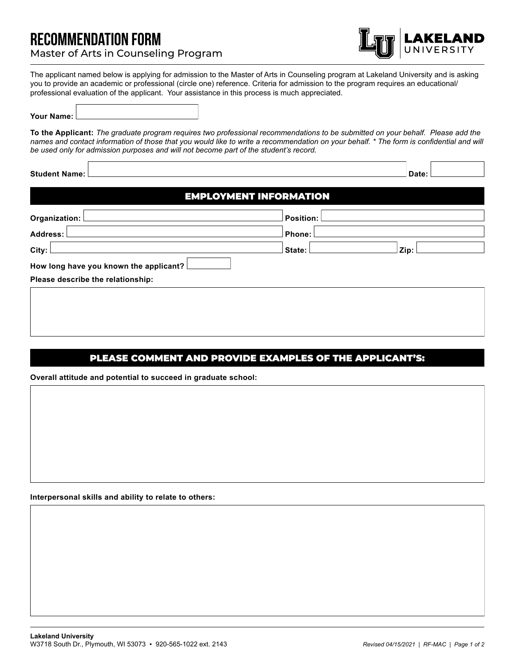# RECOMMENDATION FORM Master of Arts in Counseling Program



The applicant named below is applying for admission to the Master of Arts in Counseling program at Lakeland University and is asking you to provide an academic or professional (circle one) reference. Criteria for admission to the program requires an educational/ professional evaluation of the applicant. Your assistance in this process is much appreciated.

### **Your Name:**

**To the Applicant:** *The graduate program requires two professional recommendations to be submitted on your behalf. Please add the names and contact information of those that you would like to write a recommendation on your behalf. \* The form is confidential and will be used only for admission purposes and will not become part of the student's record.*

| <b>Student Name:</b>                   | Date:                         |  |
|----------------------------------------|-------------------------------|--|
|                                        | <b>EMPLOYMENT INFORMATION</b> |  |
| Organization:                          | <b>Position:</b>              |  |
| <b>Address:</b>                        | Phone:                        |  |
| City:                                  | State:<br>Zip:                |  |
| How long have you known the applicant? |                               |  |
| Please describe the relationship:      |                               |  |
|                                        |                               |  |
|                                        |                               |  |

## PLEASE COMMENT AND PROVIDE EXAMPLES OF THE APPLICANT'S:

**Overall attitude and potential to succeed in graduate school:**

### **Interpersonal skills and ability to relate to others:**